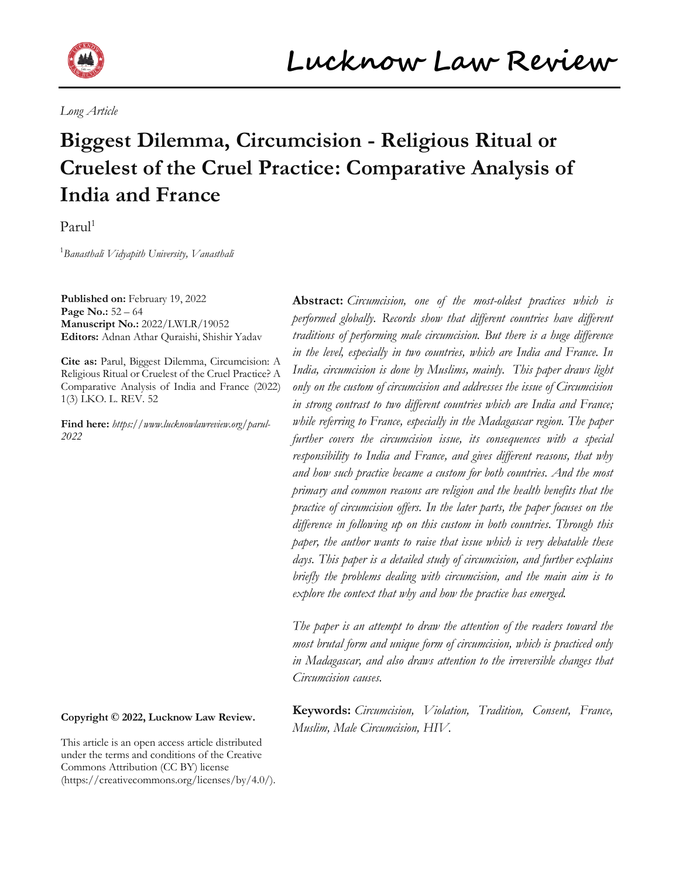

*Long Article*

# **Biggest Dilemma, Circumcision - Religious Ritual or Cruelest of the Cruel Practice: Comparative Analysis of India and France**

 $Parnl<sup>1</sup>$ 

1 *Banasthali Vidyapith University, Vanasthali*

**Published on:** February 19, 2022 **Page No.:** 52 – 64 **Manuscript No.:** 2022/LWLR/19052 **Editors:** Adnan Athar Quraishi, Shishir Yadav

**Cite as:** Parul, Biggest Dilemma, Circumcision: A Religious Ritual or Cruelest of the Cruel Practice? A Comparative Analysis of India and France (2022) 1(3) LKO. L. REV. 52

**Find here:** *[https://www.lucknowlawreview.org/parul-](https://www.lucknowlawreview.org/parul-2022)[2022](https://www.lucknowlawreview.org/parul-2022)*

## **Copyright © 2022, Lucknow Law Review.**

This article is an open access article distributed under the terms and conditions of the Creative Commons Attribution (CC BY) license (https://creativecommons.org/licenses/by/4.0/).

**Abstract:** *Circumcision, one of the most-oldest practices which is performed globally. Records show that different countries have different traditions of performing male circumcision. But there is a huge difference in the level, especially in two countries, which are India and France. In India, circumcision is done by Muslims, mainly. This paper draws light only on the custom of circumcision and addresses the issue of Circumcision in strong contrast to two different countries which are India and France; while referring to France, especially in the Madagascar region. The paper further covers the circumcision issue, its consequences with a special responsibility to India and France, and gives different reasons, that why and how such practice became a custom for both countries. And the most primary and common reasons are religion and the health benefits that the practice of circumcision offers. In the later parts, the paper focuses on the difference in following up on this custom in both countries. Through this paper, the author wants to raise that issue which is very debatable these days. This paper is a detailed study of circumcision, and further explains briefly the problems dealing with circumcision, and the main aim is to explore the context that why and how the practice has emerged.*

*The paper is an attempt to draw the attention of the readers toward the most brutal form and unique form of circumcision, which is practiced only in Madagascar, and also draws attention to the irreversible changes that Circumcision causes.*

**Keywords:** *Circumcision, Violation, Tradition, Consent, France, Muslim, Male Circumcision, HIV.*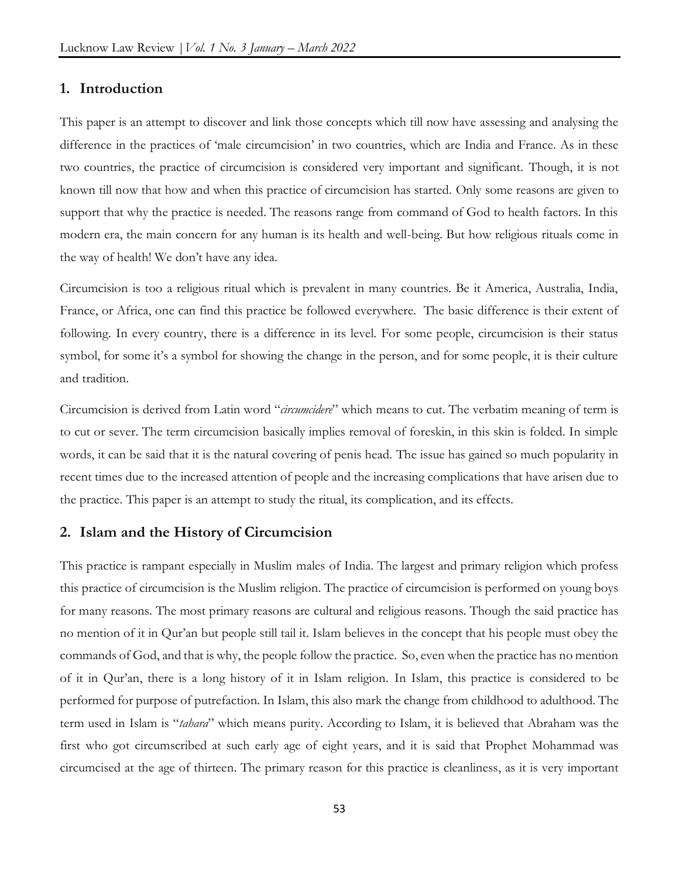# **1. Introduction**

This paper is an attempt to discover and link those concepts which till now have assessing and analysing the difference in the practices of 'male circumcision' in two countries, which are India and France. As in these two countries, the practice of circumcision is considered very important and significant. Though, it is not known till now that how and when this practice of circumcision has started. Only some reasons are given to support that why the practice is needed. The reasons range from command of God to health factors. In this modern era, the main concern for any human is its health and well-being. But how religious rituals come in the way of health! We don't have any idea.

Circumcision is too a religious ritual which is prevalent in many countries. Be it America, Australia, India, France, or Africa, one can find this practice be followed everywhere. The basic difference is their extent of following. In every country, there is a difference in its level. For some people, circumcision is their status symbol, for some it's a symbol for showing the change in the person, and for some people, it is their culture and tradition.

Circumcision is derived from Latin word "*circumcidere*" which means to cut. The verbatim meaning of term is to cut or sever. The term circumcision basically implies removal of foreskin, in this skin is folded. In simple words, it can be said that it is the natural covering of penis head. The issue has gained so much popularity in recent times due to the increased attention of people and the increasing complications that have arisen due to the practice. This paper is an attempt to study the ritual, its complication, and its effects.

## **2. Islam and the History of Circumcision**

This practice is rampant especially in Muslim males of India. The largest and primary religion which profess this practice of circumcision is the Muslim religion. The practice of circumcision is performed on young boys for many reasons. The most primary reasons are cultural and religious reasons. Though the said practice has no mention of it in Qur'an but people still tail it. Islam believes in the concept that his people must obey the commands of God, and that is why, the people follow the practice. So, even when the practice has no mention of it in Qur'an, there is a long history of it in Islam religion. In Islam, this practice is considered to be performed for purpose of putrefaction. In Islam, this also mark the change from childhood to adulthood. The term used in Islam is "*tahara*" which means purity. According to Islam, it is believed that Abraham was the first who got circumscribed at such early age of eight years, and it is said that Prophet Mohammad was circumcised at the age of thirteen. The primary reason for this practice is cleanliness, as it is very important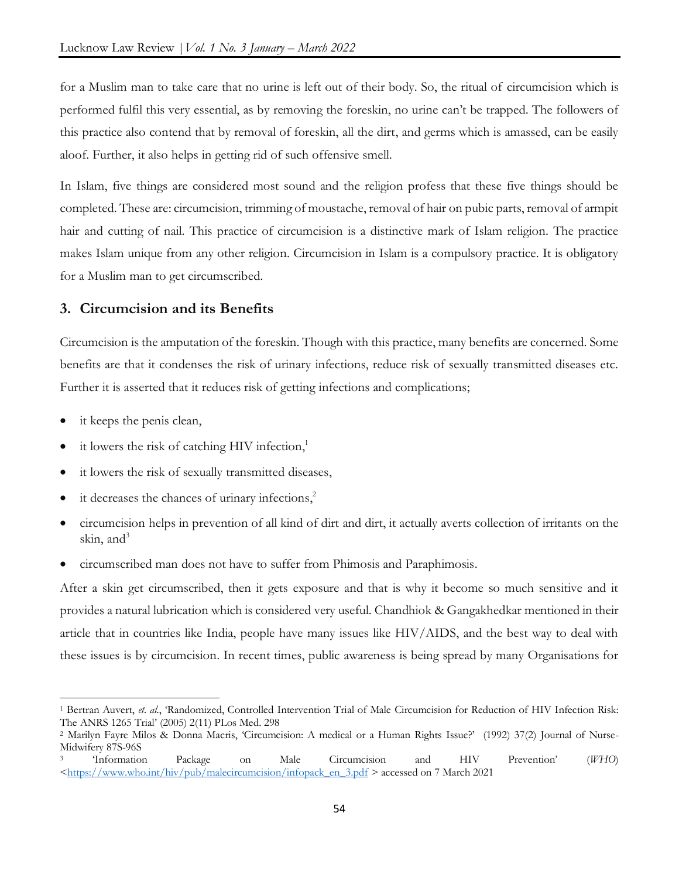for a Muslim man to take care that no urine is left out of their body. So, the ritual of circumcision which is performed fulfil this very essential, as by removing the foreskin, no urine can't be trapped. The followers of this practice also contend that by removal of foreskin, all the dirt, and germs which is amassed, can be easily aloof. Further, it also helps in getting rid of such offensive smell.

In Islam, five things are considered most sound and the religion profess that these five things should be completed. These are: circumcision, trimming of moustache, removal of hair on pubic parts, removal of armpit hair and cutting of nail. This practice of circumcision is a distinctive mark of Islam religion. The practice makes Islam unique from any other religion. Circumcision in Islam is a compulsory practice. It is obligatory for a Muslim man to get circumscribed.

# **3. Circumcision and its Benefits**

Circumcision is the amputation of the foreskin. Though with this practice, many benefits are concerned. Some benefits are that it condenses the risk of urinary infections, reduce risk of sexually transmitted diseases etc. Further it is asserted that it reduces risk of getting infections and complications;

it keeps the penis clean,

 $\overline{\phantom{a}}$ 

- it lowers the risk of catching HIV infection,<sup>1</sup>
- it lowers the risk of sexually transmitted diseases,
- it decreases the chances of urinary infections,<sup>2</sup>
- circumcision helps in prevention of all kind of dirt and dirt, it actually averts collection of irritants on the skin, and $3$
- circumscribed man does not have to suffer from Phimosis and Paraphimosis.

After a skin get circumscribed, then it gets exposure and that is why it become so much sensitive and it provides a natural lubrication which is considered very useful. Chandhiok & Gangakhedkar mentioned in their article that in countries like India, people have many issues like HIV/AIDS, and the best way to deal with these issues is by circumcision. In recent times, public awareness is being spread by many Organisations for

<sup>1</sup> Bertran Auvert, *et. al.*, 'Randomized, Controlled Intervention Trial of Male Circumcision for Reduction of HIV Infection Risk: The ANRS 1265 Trial' (2005) 2(11) PLos Med. 298

<sup>2</sup> Marilyn Fayre Milos & Donna Macris, 'Circumcision: A medical or a Human Rights Issue?' (1992) 37(2) Journal of Nurse-Midwifery 87S-96S

<sup>3</sup> 'Information Package on Male Circumcision and HIV Prevention' (*WHO*)  $\langle$ https://www.who.int/hiv/pub/malecircumcision/infopack\_en\_3.pdf > accessed on 7 March 2021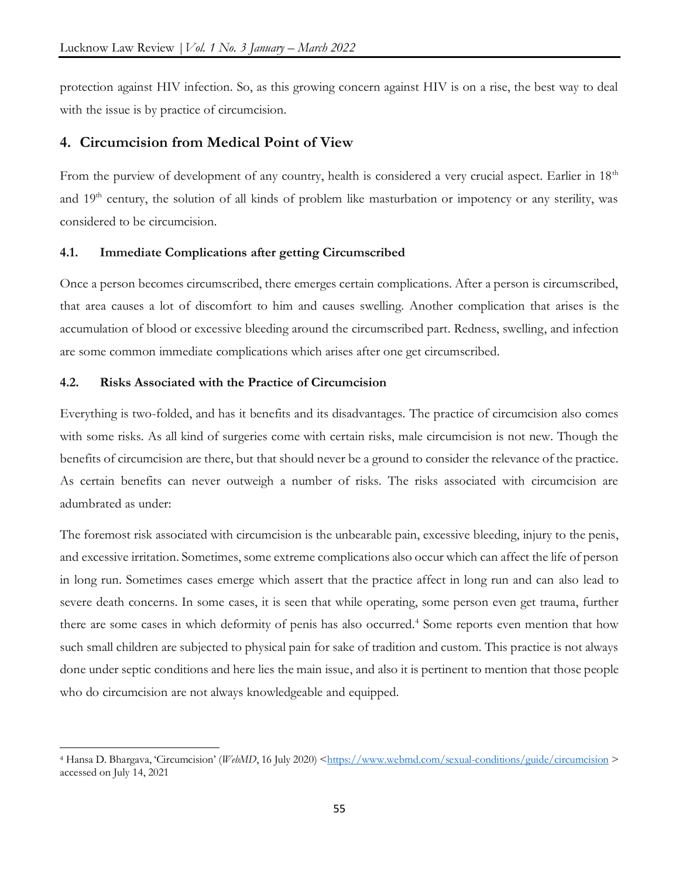protection against HIV infection. So, as this growing concern against HIV is on a rise, the best way to deal with the issue is by practice of circumcision.

# **4. Circumcision from Medical Point of View**

From the purview of development of any country, health is considered a very crucial aspect. Earlier in 18<sup>th</sup> and 19<sup>th</sup> century, the solution of all kinds of problem like masturbation or impotency or any sterility, was considered to be circumcision.

#### **4.1. Immediate Complications after getting Circumscribed**

Once a person becomes circumscribed, there emerges certain complications. After a person is circumscribed, that area causes a lot of discomfort to him and causes swelling. Another complication that arises is the accumulation of blood or excessive bleeding around the circumscribed part. Redness, swelling, and infection are some common immediate complications which arises after one get circumscribed.

## **4.2. Risks Associated with the Practice of Circumcision**

 $\overline{\phantom{a}}$ 

Everything is two-folded, and has it benefits and its disadvantages. The practice of circumcision also comes with some risks. As all kind of surgeries come with certain risks, male circumcision is not new. Though the benefits of circumcision are there, but that should never be a ground to consider the relevance of the practice. As certain benefits can never outweigh a number of risks. The risks associated with circumcision are adumbrated as under:

The foremost risk associated with circumcision is the unbearable pain, excessive bleeding, injury to the penis, and excessive irritation. Sometimes, some extreme complications also occur which can affect the life of person in long run. Sometimes cases emerge which assert that the practice affect in long run and can also lead to severe death concerns. In some cases, it is seen that while operating, some person even get trauma, further there are some cases in which deformity of penis has also occurred.<sup>4</sup> Some reports even mention that how such small children are subjected to physical pain for sake of tradition and custom. This practice is not always done under septic conditions and here lies the main issue, and also it is pertinent to mention that those people who do circumcision are not always knowledgeable and equipped.

<sup>4</sup> Hansa D. Bhargava, 'Circumcision' (*WebMD*, 16 July 2020) [<https://www.webmd.com/sexual-conditions/guide/circumcision](https://www.webmd.com/sexual-conditions/guide/circumcision) > accessed on July 14, 2021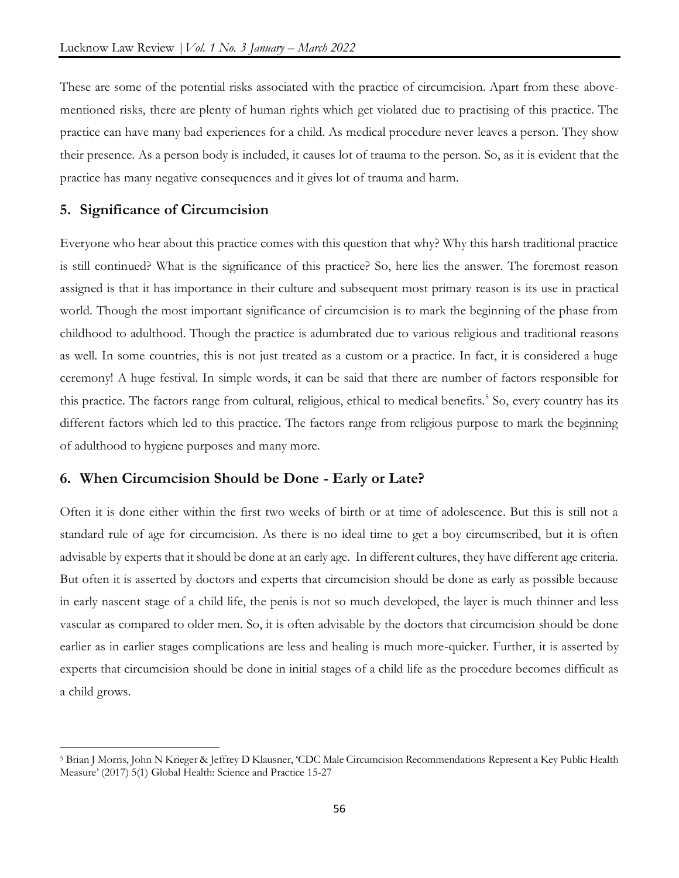These are some of the potential risks associated with the practice of circumcision. Apart from these abovementioned risks, there are plenty of human rights which get violated due to practising of this practice. The practice can have many bad experiences for a child. As medical procedure never leaves a person. They show their presence. As a person body is included, it causes lot of trauma to the person. So, as it is evident that the practice has many negative consequences and it gives lot of trauma and harm.

# **5. Significance of Circumcision**

 $\overline{\phantom{a}}$ 

Everyone who hear about this practice comes with this question that why? Why this harsh traditional practice is still continued? What is the significance of this practice? So, here lies the answer. The foremost reason assigned is that it has importance in their culture and subsequent most primary reason is its use in practical world. Though the most important significance of circumcision is to mark the beginning of the phase from childhood to adulthood. Though the practice is adumbrated due to various religious and traditional reasons as well. In some countries, this is not just treated as a custom or a practice. In fact, it is considered a huge ceremony! A huge festival. In simple words, it can be said that there are number of factors responsible for this practice. The factors range from cultural, religious, ethical to medical benefits.<sup>5</sup> So, every country has its different factors which led to this practice. The factors range from religious purpose to mark the beginning of adulthood to hygiene purposes and many more.

# **6. When Circumcision Should be Done - Early or Late?**

Often it is done either within the first two weeks of birth or at time of adolescence. But this is still not a standard rule of age for circumcision. As there is no ideal time to get a boy circumscribed, but it is often advisable by experts that it should be done at an early age. In different cultures, they have different age criteria. But often it is asserted by doctors and experts that circumcision should be done as early as possible because in early nascent stage of a child life, the penis is not so much developed, the layer is much thinner and less vascular as compared to older men. So, it is often advisable by the doctors that circumcision should be done earlier as in earlier stages complications are less and healing is much more-quicker. Further, it is asserted by experts that circumcision should be done in initial stages of a child life as the procedure becomes difficult as a child grows.

<sup>5</sup> Brian J Morris, John N Krieger & Jeffrey D Klausner, 'CDC Male Circumcision Recommendations Represent a Key Public Health Measure' (2017) 5(1) Global Health: Science and Practice 15-27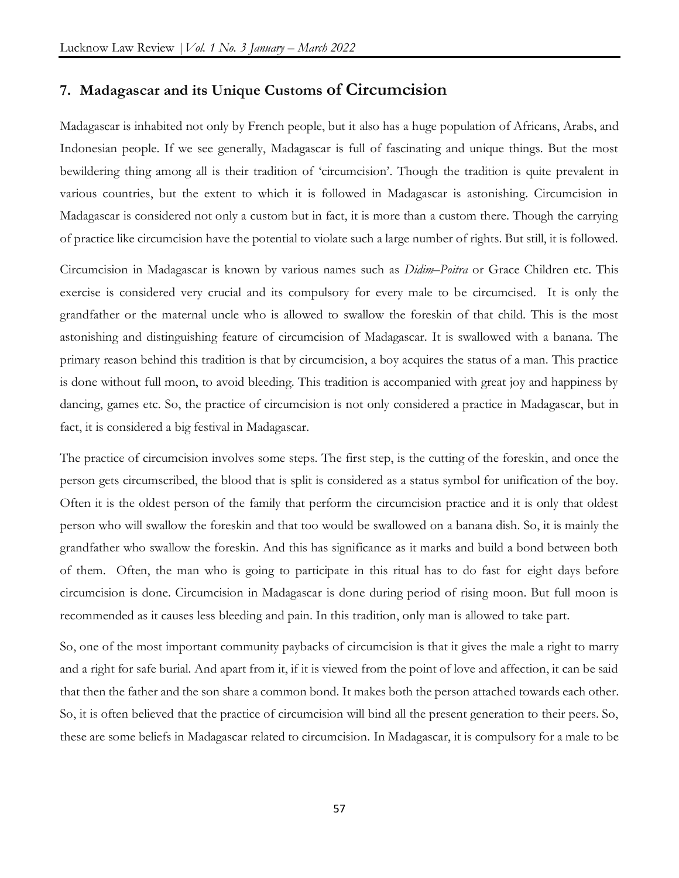# **7. Madagascar and its Unique Customs of Circumcision**

Madagascar is inhabited not only by French people, but it also has a huge population of Africans, Arabs, and Indonesian people. If we see generally, Madagascar is full of fascinating and unique things. But the most bewildering thing among all is their tradition of 'circumcision'. Though the tradition is quite prevalent in various countries, but the extent to which it is followed in Madagascar is astonishing. Circumcision in Madagascar is considered not only a custom but in fact, it is more than a custom there. Though the carrying of practice like circumcision have the potential to violate such a large number of rights. But still, it is followed.

Circumcision in Madagascar is known by various names such as *Didim–Poitra* or Grace Children etc. This exercise is considered very crucial and its compulsory for every male to be circumcised. It is only the grandfather or the maternal uncle who is allowed to swallow the foreskin of that child. This is the most astonishing and distinguishing feature of circumcision of Madagascar. It is swallowed with a banana. The primary reason behind this tradition is that by circumcision, a boy acquires the status of a man. This practice is done without full moon, to avoid bleeding. This tradition is accompanied with great joy and happiness by dancing, games etc. So, the practice of circumcision is not only considered a practice in Madagascar, but in fact, it is considered a big festival in Madagascar.

The practice of circumcision involves some steps. The first step, is the cutting of the foreskin, and once the person gets circumscribed, the blood that is split is considered as a status symbol for unification of the boy. Often it is the oldest person of the family that perform the circumcision practice and it is only that oldest person who will swallow the foreskin and that too would be swallowed on a banana dish. So, it is mainly the grandfather who swallow the foreskin. And this has significance as it marks and build a bond between both of them. Often, the man who is going to participate in this ritual has to do fast for eight days before circumcision is done. Circumcision in Madagascar is done during period of rising moon. But full moon is recommended as it causes less bleeding and pain. In this tradition, only man is allowed to take part.

So, one of the most important community paybacks of circumcision is that it gives the male a right to marry and a right for safe burial. And apart from it, if it is viewed from the point of love and affection, it can be said that then the father and the son share a common bond. It makes both the person attached towards each other. So, it is often believed that the practice of circumcision will bind all the present generation to their peers. So, these are some beliefs in Madagascar related to circumcision. In Madagascar, it is compulsory for a male to be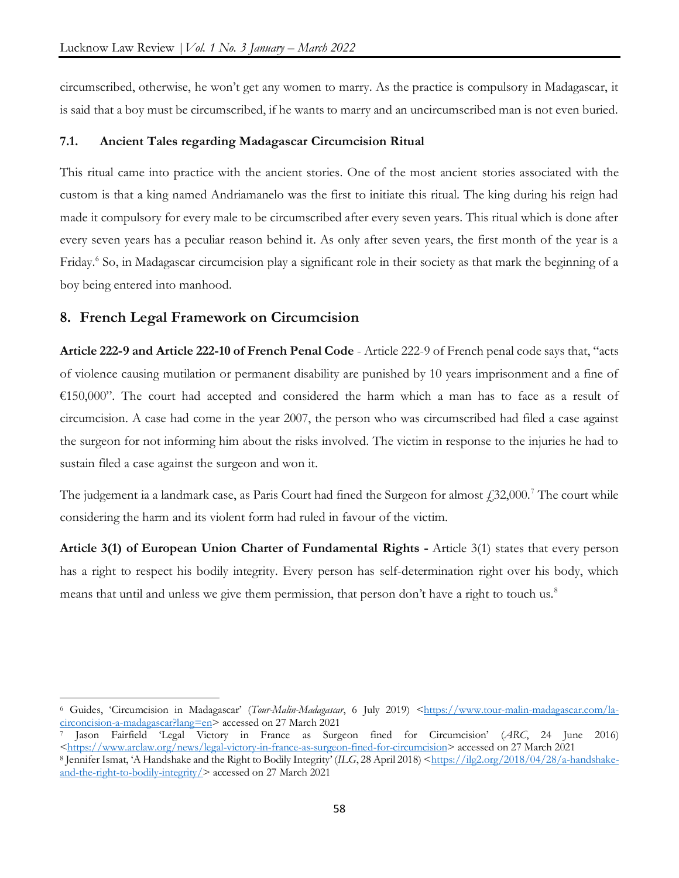circumscribed, otherwise, he won't get any women to marry. As the practice is compulsory in Madagascar, it is said that a boy must be circumscribed, if he wants to marry and an uncircumscribed man is not even buried.

#### **7.1. Ancient Tales regarding Madagascar Circumcision Ritual**

This ritual came into practice with the ancient stories. One of the most ancient stories associated with the custom is that a king named Andriamanelo was the first to initiate this ritual. The king during his reign had made it compulsory for every male to be circumscribed after every seven years. This ritual which is done after every seven years has a peculiar reason behind it. As only after seven years, the first month of the year is a Friday.<sup>6</sup> So, in Madagascar circumcision play a significant role in their society as that mark the beginning of a boy being entered into manhood.

# **8. French Legal Framework on Circumcision**

 $\overline{\phantom{a}}$ 

**Article 222-9 and Article 222-10 of French Penal Code** - Article 222-9 of French penal code says that, "acts of violence causing mutilation or permanent disability are punished by 10 years imprisonment and a fine of €150,000". The court had accepted and considered the harm which a man has to face as a result of circumcision. A case had come in the year 2007, the person who was circumscribed had filed a case against the surgeon for not informing him about the risks involved. The victim in response to the injuries he had to sustain filed a case against the surgeon and won it.

The judgement ia a landmark case, as Paris Court had fined the Surgeon for almost  $\ell$  32,000.<sup>7</sup> The court while considering the harm and its violent form had ruled in favour of the victim.

**Article 3(1) of European Union Charter of Fundamental Rights -** Article 3(1) states that every person has a right to respect his bodily integrity. Every person has self-determination right over his body, which means that until and unless we give them permission, that person don't have a right to touch us.<sup>8</sup>

<sup>6</sup> Guides, 'Circumcision in Madagascar' (*Tour-Malin-Madagascar*, 6 July 2019) [<https://www.tour-malin-madagascar.com/la](https://www.tour-malin-madagascar.com/la-circoncision-a-madagascar?lang=en)[circoncision-a-madagascar?lang=en>](https://www.tour-malin-madagascar.com/la-circoncision-a-madagascar?lang=en) accessed on 27 March 2021

<sup>7</sup> Jason Fairfield 'Legal Victory in France as Surgeon fined for Circumcision' (*ARC*, 24 June 2016) [<https://www.arclaw.org/news/legal-victory-in-france-as-surgeon-fined-for-circumcision>](https://www.arclaw.org/news/legal-victory-in-france-as-surgeon-fined-for-circumcision) accessed on 27 March 2021

<sup>8</sup> Jennifer Ismat, 'A Handshake and the Right to Bodily Integrity' (*ILG*, 28 April 2018) [<https://ilg2.org/2018/04/28/a-handshake](https://ilg2.org/2018/04/28/a-handshake-and-the-right-to-bodily-integrity/)[and-the-right-to-bodily-integrity/>](https://ilg2.org/2018/04/28/a-handshake-and-the-right-to-bodily-integrity/) accessed on 27 March 2021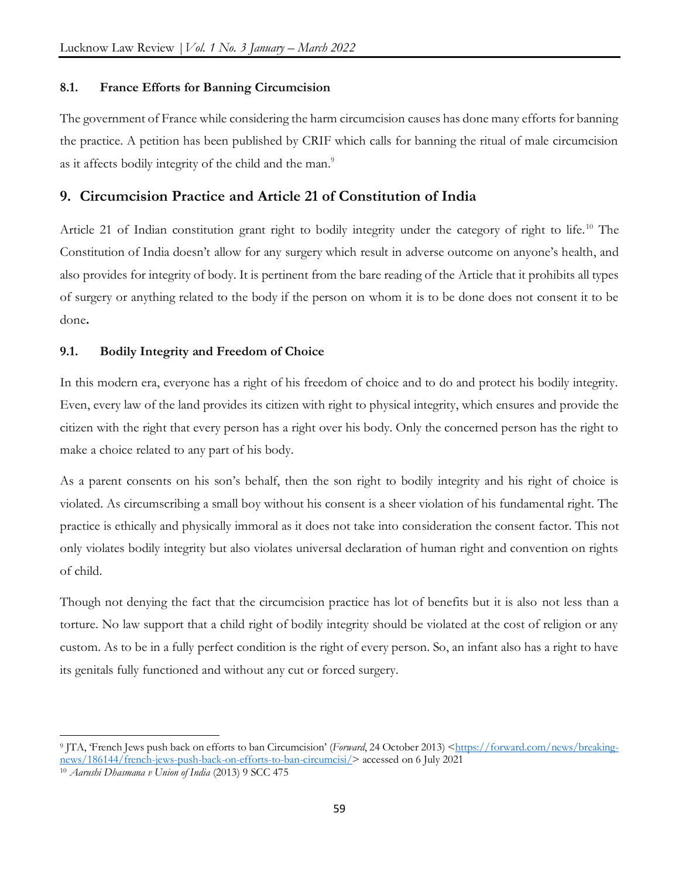# **8.1. France Efforts for Banning Circumcision**

The government of France while considering the harm circumcision causes has done many efforts for banning the practice. A petition has been published by CRIF which calls for banning the ritual of male circumcision as it affects bodily integrity of the child and the man.<sup>9</sup>

# **9. Circumcision Practice and Article 21 of Constitution of India**

Article 21 of Indian constitution grant right to bodily integrity under the category of right to life.<sup>10</sup> The Constitution of India doesn't allow for any surgery which result in adverse outcome on anyone's health, and also provides for integrity of body. It is pertinent from the bare reading of the Article that it prohibits all types of surgery or anything related to the body if the person on whom it is to be done does not consent it to be done**.** 

# **9.1. Bodily Integrity and Freedom of Choice**

In this modern era, everyone has a right of his freedom of choice and to do and protect his bodily integrity. Even, every law of the land provides its citizen with right to physical integrity, which ensures and provide the citizen with the right that every person has a right over his body. Only the concerned person has the right to make a choice related to any part of his body.

As a parent consents on his son's behalf, then the son right to bodily integrity and his right of choice is violated. As circumscribing a small boy without his consent is a sheer violation of his fundamental right. The practice is ethically and physically immoral as it does not take into consideration the consent factor. This not only violates bodily integrity but also violates universal declaration of human right and convention on rights of child.

Though not denying the fact that the circumcision practice has lot of benefits but it is also not less than a torture. No law support that a child right of bodily integrity should be violated at the cost of religion or any custom. As to be in a fully perfect condition is the right of every person. So, an infant also has a right to have its genitals fully functioned and without any cut or forced surgery.

 $\overline{a}$ 9 JTA, 'French Jews push back on efforts to ban Circumcision' (*Forward*, 24 October 2013) [<https://forward.com/news/breaking](https://forward.com/news/breaking-news/186144/french-jews-push-back-on-efforts-to-ban-circumcisi/)[news/186144/french-jews-push-back-on-efforts-to-ban-circumcisi/>](https://forward.com/news/breaking-news/186144/french-jews-push-back-on-efforts-to-ban-circumcisi/) accessed on 6 July 2021

<sup>10</sup> *Aarushi Dhasmana v Union of India* (2013) 9 SCC 475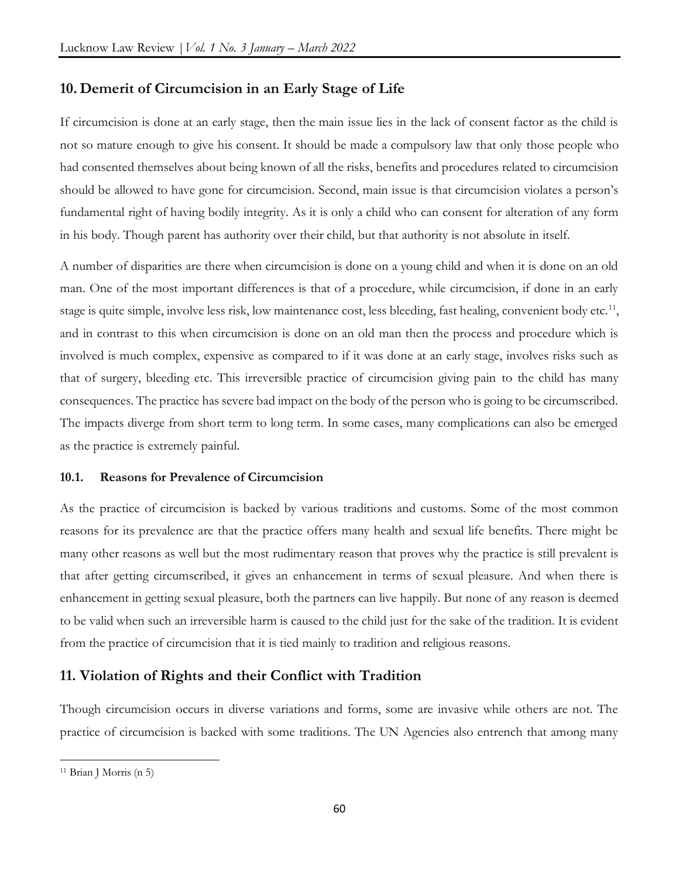# **10. Demerit of Circumcision in an Early Stage of Life**

If circumcision is done at an early stage, then the main issue lies in the lack of consent factor as the child is not so mature enough to give his consent. It should be made a compulsory law that only those people who had consented themselves about being known of all the risks, benefits and procedures related to circumcision should be allowed to have gone for circumcision. Second, main issue is that circumcision violates a person's fundamental right of having bodily integrity. As it is only a child who can consent for alteration of any form in his body. Though parent has authority over their child, but that authority is not absolute in itself.

A number of disparities are there when circumcision is done on a young child and when it is done on an old man. One of the most important differences is that of a procedure, while circumcision, if done in an early stage is quite simple, involve less risk, low maintenance cost, less bleeding, fast healing, convenient body etc.<sup>11</sup>, and in contrast to this when circumcision is done on an old man then the process and procedure which is involved is much complex, expensive as compared to if it was done at an early stage, involves risks such as that of surgery, bleeding etc. This irreversible practice of circumcision giving pain to the child has many consequences. The practice has severe bad impact on the body of the person who is going to be circumscribed. The impacts diverge from short term to long term. In some cases, many complications can also be emerged as the practice is extremely painful.

#### **10.1. Reasons for Prevalence of Circumcision**

As the practice of circumcision is backed by various traditions and customs. Some of the most common reasons for its prevalence are that the practice offers many health and sexual life benefits. There might be many other reasons as well but the most rudimentary reason that proves why the practice is still prevalent is that after getting circumscribed, it gives an enhancement in terms of sexual pleasure. And when there is enhancement in getting sexual pleasure, both the partners can live happily. But none of any reason is deemed to be valid when such an irreversible harm is caused to the child just for the sake of the tradition. It is evident from the practice of circumcision that it is tied mainly to tradition and religious reasons.

# **11. Violation of Rights and their Conflict with Tradition**

Though circumcision occurs in diverse variations and forms, some are invasive while others are not. The practice of circumcision is backed with some traditions. The UN Agencies also entrench that among many

 $\overline{\phantom{a}}$ 

<sup>11</sup> Brian J Morris (n 5)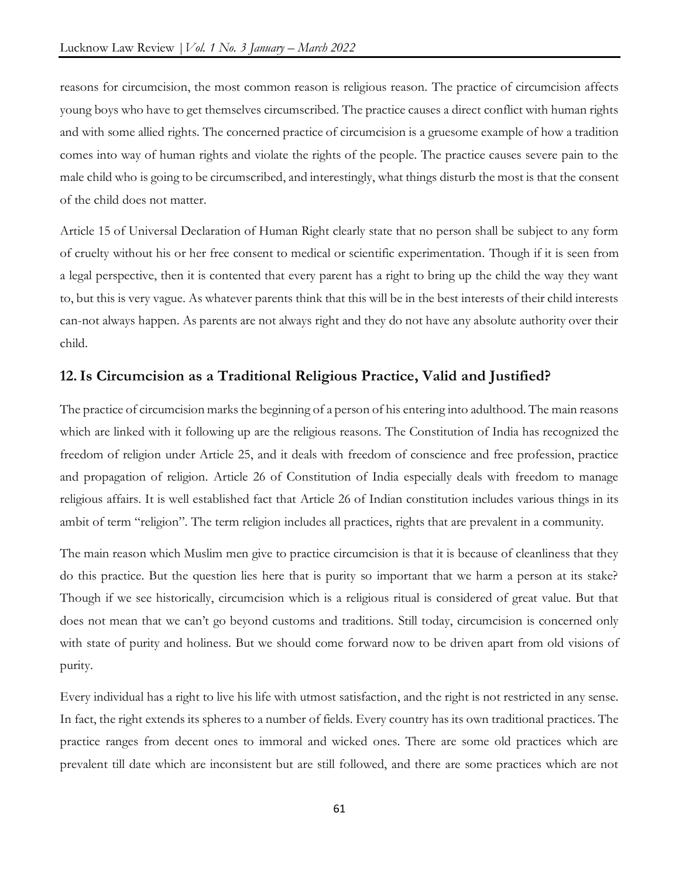reasons for circumcision, the most common reason is religious reason. The practice of circumcision affects young boys who have to get themselves circumscribed. The practice causes a direct conflict with human rights and with some allied rights. The concerned practice of circumcision is a gruesome example of how a tradition comes into way of human rights and violate the rights of the people. The practice causes severe pain to the male child who is going to be circumscribed, and interestingly, what things disturb the most is that the consent of the child does not matter.

Article 15 of Universal Declaration of Human Right clearly state that no person shall be subject to any form of cruelty without his or her free consent to medical or scientific experimentation. Though if it is seen from a legal perspective, then it is contented that every parent has a right to bring up the child the way they want to, but this is very vague. As whatever parents think that this will be in the best interests of their child interests can-not always happen. As parents are not always right and they do not have any absolute authority over their child.

# **12.Is Circumcision as a Traditional Religious Practice, Valid and Justified?**

The practice of circumcision marks the beginning of a person of his entering into adulthood. The main reasons which are linked with it following up are the religious reasons. The Constitution of India has recognized the freedom of religion under Article 25, and it deals with freedom of conscience and free profession, practice and propagation of religion. Article 26 of Constitution of India especially deals with freedom to manage religious affairs. It is well established fact that Article 26 of Indian constitution includes various things in its ambit of term "religion". The term religion includes all practices, rights that are prevalent in a community.

The main reason which Muslim men give to practice circumcision is that it is because of cleanliness that they do this practice. But the question lies here that is purity so important that we harm a person at its stake? Though if we see historically, circumcision which is a religious ritual is considered of great value. But that does not mean that we can't go beyond customs and traditions. Still today, circumcision is concerned only with state of purity and holiness. But we should come forward now to be driven apart from old visions of purity.

Every individual has a right to live his life with utmost satisfaction, and the right is not restricted in any sense. In fact, the right extends its spheres to a number of fields. Every country has its own traditional practices. The practice ranges from decent ones to immoral and wicked ones. There are some old practices which are prevalent till date which are inconsistent but are still followed, and there are some practices which are not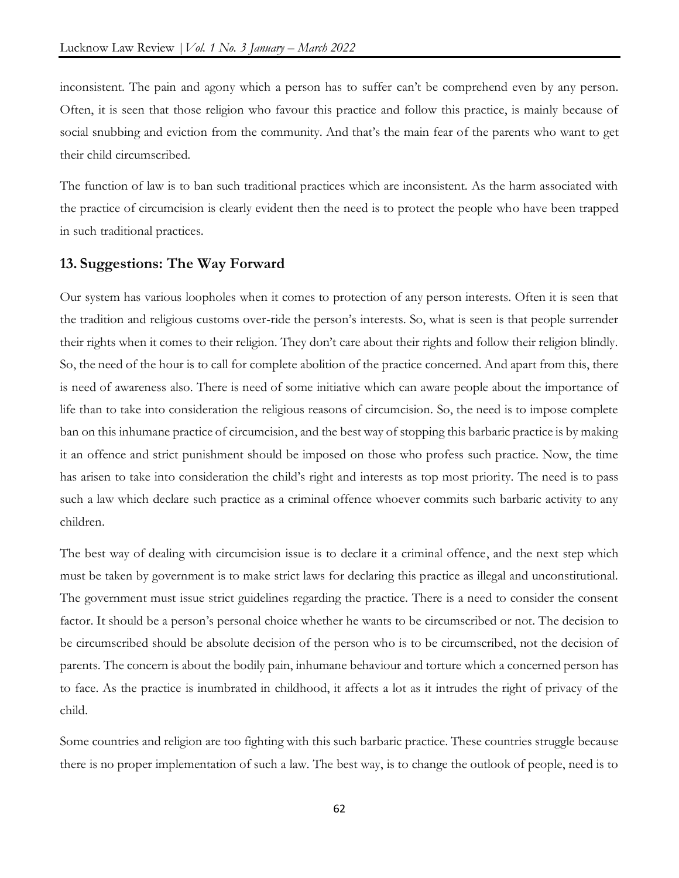inconsistent. The pain and agony which a person has to suffer can't be comprehend even by any person. Often, it is seen that those religion who favour this practice and follow this practice, is mainly because of social snubbing and eviction from the community. And that's the main fear of the parents who want to get their child circumscribed.

The function of law is to ban such traditional practices which are inconsistent. As the harm associated with the practice of circumcision is clearly evident then the need is to protect the people who have been trapped in such traditional practices.

# **13. Suggestions: The Way Forward**

Our system has various loopholes when it comes to protection of any person interests. Often it is seen that the tradition and religious customs over-ride the person's interests. So, what is seen is that people surrender their rights when it comes to their religion. They don't care about their rights and follow their religion blindly. So, the need of the hour is to call for complete abolition of the practice concerned. And apart from this, there is need of awareness also. There is need of some initiative which can aware people about the importance of life than to take into consideration the religious reasons of circumcision. So, the need is to impose complete ban on this inhumane practice of circumcision, and the best way of stopping this barbaric practice is by making it an offence and strict punishment should be imposed on those who profess such practice. Now, the time has arisen to take into consideration the child's right and interests as top most priority. The need is to pass such a law which declare such practice as a criminal offence whoever commits such barbaric activity to any children.

The best way of dealing with circumcision issue is to declare it a criminal offence, and the next step which must be taken by government is to make strict laws for declaring this practice as illegal and unconstitutional. The government must issue strict guidelines regarding the practice. There is a need to consider the consent factor. It should be a person's personal choice whether he wants to be circumscribed or not. The decision to be circumscribed should be absolute decision of the person who is to be circumscribed, not the decision of parents. The concern is about the bodily pain, inhumane behaviour and torture which a concerned person has to face. As the practice is inumbrated in childhood, it affects a lot as it intrudes the right of privacy of the child.

Some countries and religion are too fighting with this such barbaric practice. These countries struggle because there is no proper implementation of such a law. The best way, is to change the outlook of people, need is to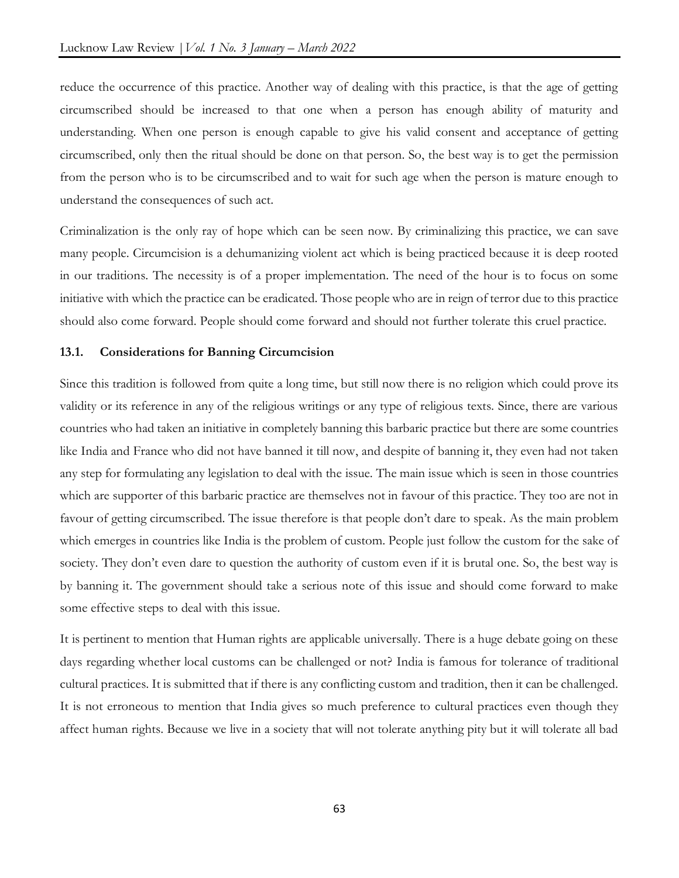reduce the occurrence of this practice. Another way of dealing with this practice, is that the age of getting circumscribed should be increased to that one when a person has enough ability of maturity and understanding. When one person is enough capable to give his valid consent and acceptance of getting circumscribed, only then the ritual should be done on that person. So, the best way is to get the permission from the person who is to be circumscribed and to wait for such age when the person is mature enough to understand the consequences of such act.

Criminalization is the only ray of hope which can be seen now. By criminalizing this practice, we can save many people. Circumcision is a dehumanizing violent act which is being practiced because it is deep rooted in our traditions. The necessity is of a proper implementation. The need of the hour is to focus on some initiative with which the practice can be eradicated. Those people who are in reign of terror due to this practice should also come forward. People should come forward and should not further tolerate this cruel practice.

## **13.1. Considerations for Banning Circumcision**

Since this tradition is followed from quite a long time, but still now there is no religion which could prove its validity or its reference in any of the religious writings or any type of religious texts. Since, there are various countries who had taken an initiative in completely banning this barbaric practice but there are some countries like India and France who did not have banned it till now, and despite of banning it, they even had not taken any step for formulating any legislation to deal with the issue. The main issue which is seen in those countries which are supporter of this barbaric practice are themselves not in favour of this practice. They too are not in favour of getting circumscribed. The issue therefore is that people don't dare to speak. As the main problem which emerges in countries like India is the problem of custom. People just follow the custom for the sake of society. They don't even dare to question the authority of custom even if it is brutal one. So, the best way is by banning it. The government should take a serious note of this issue and should come forward to make some effective steps to deal with this issue.

It is pertinent to mention that Human rights are applicable universally. There is a huge debate going on these days regarding whether local customs can be challenged or not? India is famous for tolerance of traditional cultural practices. It is submitted that if there is any conflicting custom and tradition, then it can be challenged. It is not erroneous to mention that India gives so much preference to cultural practices even though they affect human rights. Because we live in a society that will not tolerate anything pity but it will tolerate all bad